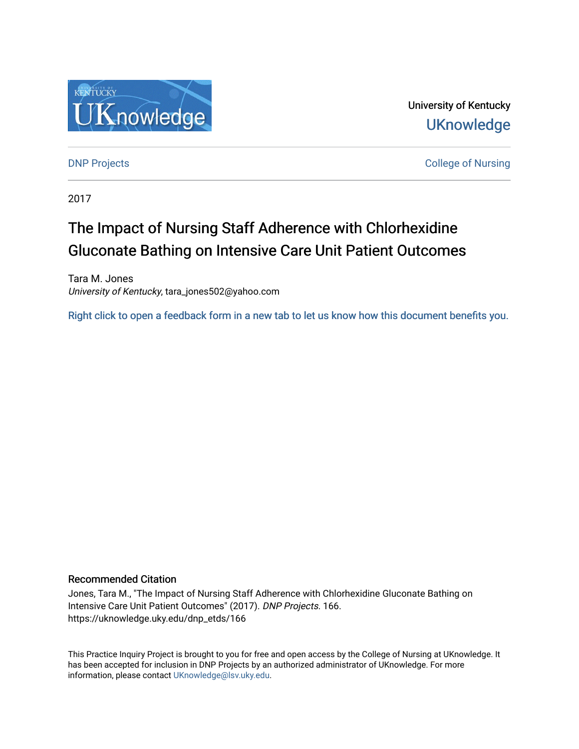

University of Kentucky **UKnowledge** 

**DNP Projects** College of Nursing

2017

# The Impact of Nursing Staff Adherence with Chlorhexidine Gluconate Bathing on Intensive Care Unit Patient Outcomes

Tara M. Jones University of Kentucky, tara\_jones502@yahoo.com

[Right click to open a feedback form in a new tab to let us know how this document benefits you.](https://uky.az1.qualtrics.com/jfe/form/SV_9mq8fx2GnONRfz7)

## Recommended Citation

Jones, Tara M., "The Impact of Nursing Staff Adherence with Chlorhexidine Gluconate Bathing on Intensive Care Unit Patient Outcomes" (2017). DNP Projects. 166. https://uknowledge.uky.edu/dnp\_etds/166

This Practice Inquiry Project is brought to you for free and open access by the College of Nursing at UKnowledge. It has been accepted for inclusion in DNP Projects by an authorized administrator of UKnowledge. For more information, please contact [UKnowledge@lsv.uky.edu](mailto:UKnowledge@lsv.uky.edu).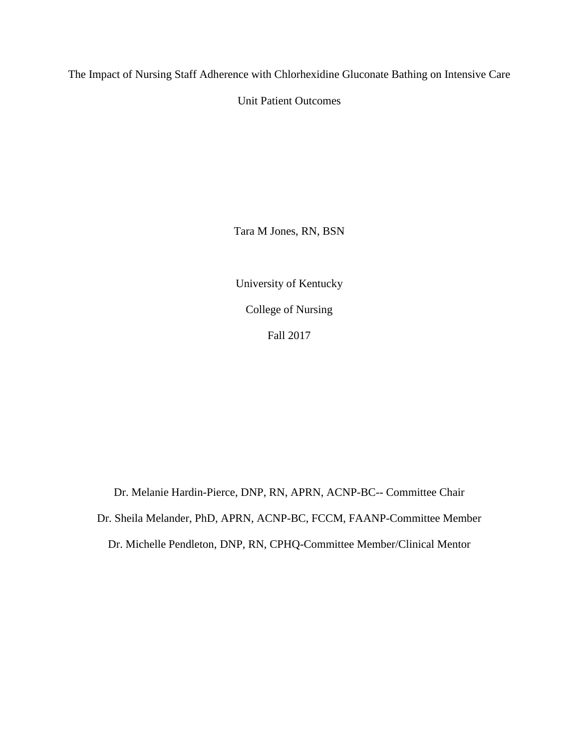The Impact of Nursing Staff Adherence with Chlorhexidine Gluconate Bathing on Intensive Care

Unit Patient Outcomes

Tara M Jones, RN, BSN

University of Kentucky College of Nursing Fall 2017

Dr. Melanie Hardin-Pierce, DNP, RN, APRN, ACNP-BC-- Committee Chair Dr. Sheila Melander, PhD, APRN, ACNP-BC, FCCM, FAANP-Committee Member Dr. Michelle Pendleton, DNP, RN, CPHQ-Committee Member/Clinical Mentor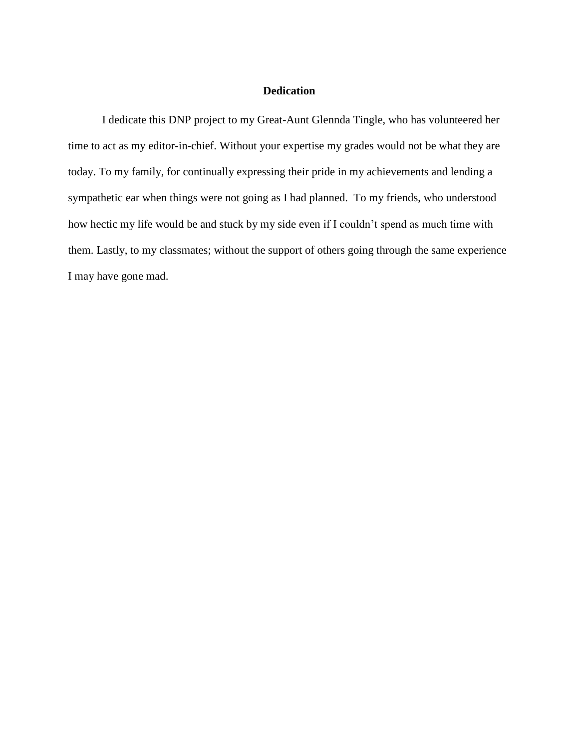## **Dedication**

I dedicate this DNP project to my Great-Aunt Glennda Tingle, who has volunteered her time to act as my editor-in-chief. Without your expertise my grades would not be what they are today. To my family, for continually expressing their pride in my achievements and lending a sympathetic ear when things were not going as I had planned. To my friends, who understood how hectic my life would be and stuck by my side even if I couldn't spend as much time with them. Lastly, to my classmates; without the support of others going through the same experience I may have gone mad.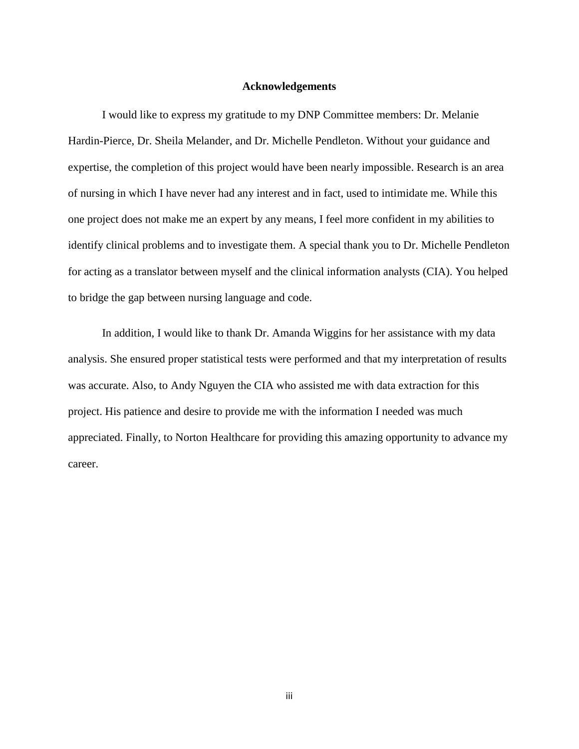#### **Acknowledgements**

I would like to express my gratitude to my DNP Committee members: Dr. Melanie Hardin-Pierce, Dr. Sheila Melander, and Dr. Michelle Pendleton. Without your guidance and expertise, the completion of this project would have been nearly impossible. Research is an area of nursing in which I have never had any interest and in fact, used to intimidate me. While this one project does not make me an expert by any means, I feel more confident in my abilities to identify clinical problems and to investigate them. A special thank you to Dr. Michelle Pendleton for acting as a translator between myself and the clinical information analysts (CIA). You helped to bridge the gap between nursing language and code.

In addition, I would like to thank Dr. Amanda Wiggins for her assistance with my data analysis. She ensured proper statistical tests were performed and that my interpretation of results was accurate. Also, to Andy Nguyen the CIA who assisted me with data extraction for this project. His patience and desire to provide me with the information I needed was much appreciated. Finally, to Norton Healthcare for providing this amazing opportunity to advance my career.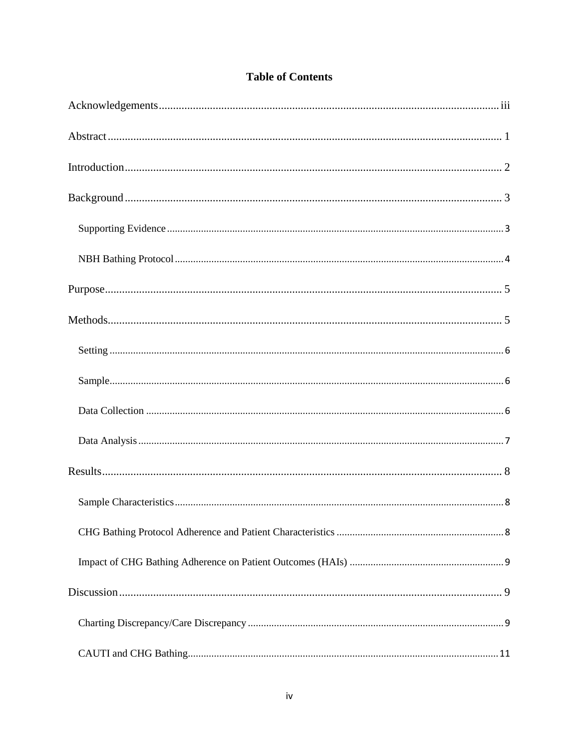|  | <b>Table of Contents</b> |
|--|--------------------------|
|  |                          |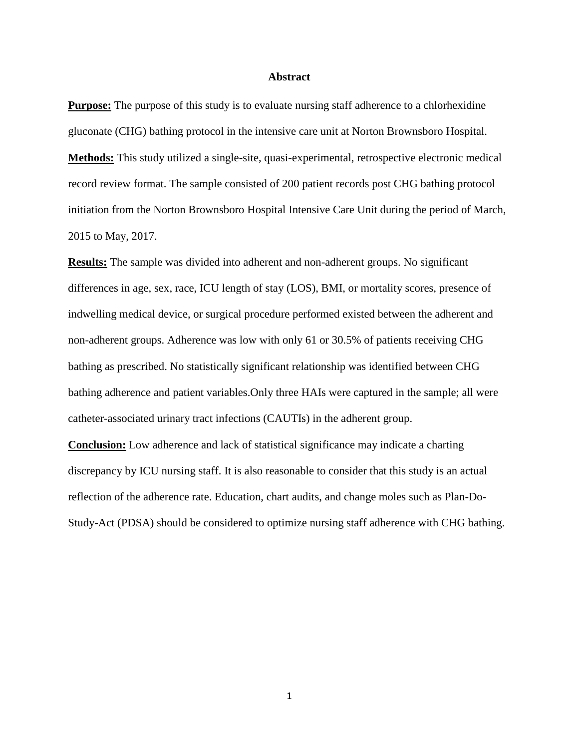#### **Abstract**

**Purpose:** The purpose of this study is to evaluate nursing staff adherence to a chlorhexidine gluconate (CHG) bathing protocol in the intensive care unit at Norton Brownsboro Hospital. **Methods:** This study utilized a single-site, quasi-experimental, retrospective electronic medical record review format. The sample consisted of 200 patient records post CHG bathing protocol initiation from the Norton Brownsboro Hospital Intensive Care Unit during the period of March, 2015 to May, 2017.

**Results:** The sample was divided into adherent and non-adherent groups. No significant differences in age, sex, race, ICU length of stay (LOS), BMI, or mortality scores, presence of indwelling medical device, or surgical procedure performed existed between the adherent and non-adherent groups. Adherence was low with only 61 or 30.5% of patients receiving CHG bathing as prescribed. No statistically significant relationship was identified between CHG bathing adherence and patient variables.Only three HAIs were captured in the sample; all were catheter-associated urinary tract infections (CAUTIs) in the adherent group.

**Conclusion:** Low adherence and lack of statistical significance may indicate a charting discrepancy by ICU nursing staff. It is also reasonable to consider that this study is an actual reflection of the adherence rate. Education, chart audits, and change moles such as Plan-Do-Study-Act (PDSA) should be considered to optimize nursing staff adherence with CHG bathing.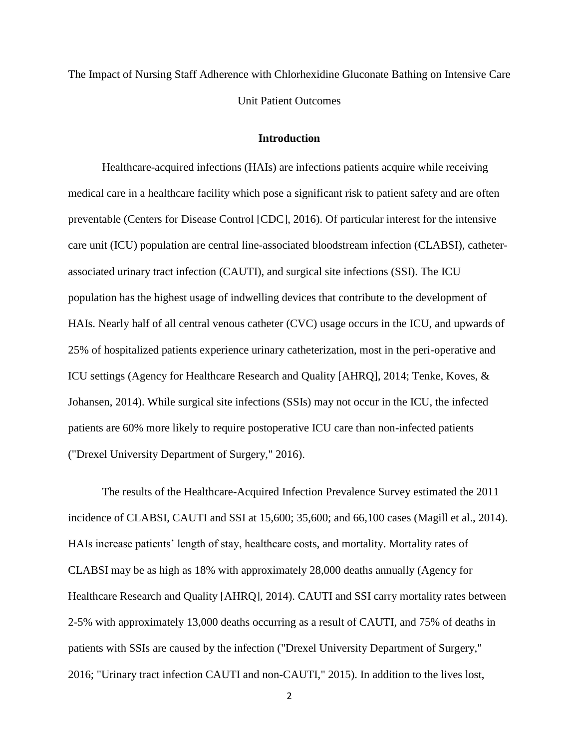The Impact of Nursing Staff Adherence with Chlorhexidine Gluconate Bathing on Intensive Care Unit Patient Outcomes

#### **Introduction**

Healthcare-acquired infections (HAIs) are infections patients acquire while receiving medical care in a healthcare facility which pose a significant risk to patient safety and are often preventable (Centers for Disease Control [CDC], 2016). Of particular interest for the intensive care unit (ICU) population are central line-associated bloodstream infection (CLABSI), catheterassociated urinary tract infection (CAUTI), and surgical site infections (SSI). The ICU population has the highest usage of indwelling devices that contribute to the development of HAIs. Nearly half of all central venous catheter (CVC) usage occurs in the ICU, and upwards of 25% of hospitalized patients experience urinary catheterization, most in the peri-operative and ICU settings (Agency for Healthcare Research and Quality [AHRQ], 2014; Tenke, Koves, & Johansen, 2014). While surgical site infections (SSIs) may not occur in the ICU, the infected patients are 60% more likely to require postoperative ICU care than non-infected patients ("Drexel University Department of Surgery," 2016).

The results of the Healthcare-Acquired Infection Prevalence Survey estimated the 2011 incidence of CLABSI, CAUTI and SSI at 15,600; 35,600; and 66,100 cases (Magill et al., 2014). HAIs increase patients' length of stay, healthcare costs, and mortality. Mortality rates of CLABSI may be as high as 18% with approximately 28,000 deaths annually (Agency for Healthcare Research and Quality [AHRQ], 2014). CAUTI and SSI carry mortality rates between 2-5% with approximately 13,000 deaths occurring as a result of CAUTI, and 75% of deaths in patients with SSIs are caused by the infection ("Drexel University Department of Surgery," 2016; "Urinary tract infection CAUTI and non-CAUTI," 2015). In addition to the lives lost,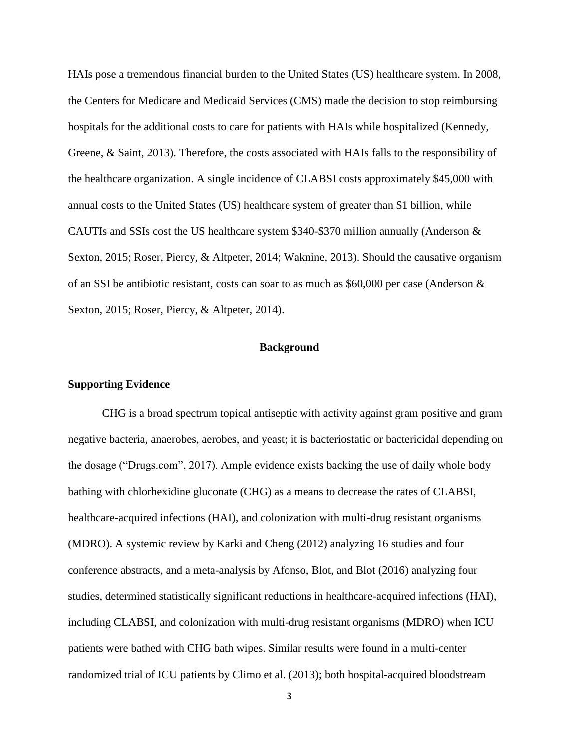HAIs pose a tremendous financial burden to the United States (US) healthcare system. In 2008, the Centers for Medicare and Medicaid Services (CMS) made the decision to stop reimbursing hospitals for the additional costs to care for patients with HAIs while hospitalized (Kennedy, Greene, & Saint, 2013). Therefore, the costs associated with HAIs falls to the responsibility of the healthcare organization. A single incidence of CLABSI costs approximately \$45,000 with annual costs to the United States (US) healthcare system of greater than \$1 billion, while CAUTIs and SSIs cost the US healthcare system \$340-\$370 million annually (Anderson & Sexton, 2015; Roser, Piercy, & Altpeter, 2014; Waknine, 2013). Should the causative organism of an SSI be antibiotic resistant, costs can soar to as much as \$60,000 per case (Anderson & Sexton, 2015; Roser, Piercy, & Altpeter, 2014).

#### **Background**

#### **Supporting Evidence**

CHG is a broad spectrum topical antiseptic with activity against gram positive and gram negative bacteria, anaerobes, aerobes, and yeast; it is bacteriostatic or bactericidal depending on the dosage ("Drugs.com", 2017). Ample evidence exists backing the use of daily whole body bathing with chlorhexidine gluconate (CHG) as a means to decrease the rates of CLABSI, healthcare-acquired infections (HAI), and colonization with multi-drug resistant organisms (MDRO). A systemic review by Karki and Cheng (2012) analyzing 16 studies and four conference abstracts, and a meta-analysis by Afonso, Blot, and Blot (2016) analyzing four studies, determined statistically significant reductions in healthcare-acquired infections (HAI), including CLABSI, and colonization with multi-drug resistant organisms (MDRO) when ICU patients were bathed with CHG bath wipes. Similar results were found in a multi-center randomized trial of ICU patients by Climo et al. (2013); both hospital-acquired bloodstream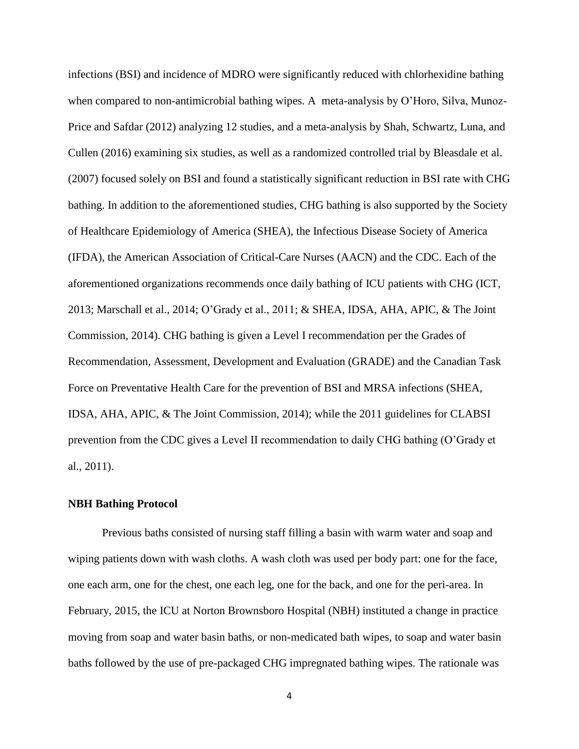infections (BSI) and incidence of MDRO were significantly reduced with chlorhexidine bathing when compared to non-antimicrobial bathing wipes. A meta-analysis by O'Horo, Silva, Munoz-Price and Safdar (2012) analyzing 12 studies, and a meta-analysis by Shah, Schwartz, Luna, and Cullen (2016) examining six studies, as well as a randomized controlled trial by Bleasdale et al. (2007) focused solely on BSI and found a statistically significant reduction in BSI rate with CHG bathing. In addition to the aforementioned studies, CHG bathing is also supported by the Society of Healthcare Epidemiology of America (SHEA), the Infectious Disease Society of America (IFDA), the American Association of Critical-Care Nurses (AACN) and the CDC. Each of the aforementioned organizations recommends once daily bathing of ICU patients with CHG (ICT, 2013; Marschall et al., 2014; O'Grady et al., 2011; & SHEA, IDSA, AHA, APIC, & The Joint Commission, 2014). CHG bathing is given a Level I recommendation per the Grades of Recommendation, Assessment, Development and Evaluation (GRADE) and the Canadian Task Force on Preventative Health Care for the prevention of BSI and MRSA infections (SHEA, IDSA, AHA, APIC, & The Joint Commission, 2014); while the 2011 guidelines for CLABSI prevention from the CDC gives a Level II recommendation to daily CHG bathing (O'Grady et al., 2011).

#### **NBH Bathing Protocol**

Previous baths consisted of nursing staff filling a basin with warm water and soap and wiping patients down with wash cloths. A wash cloth was used per body part: one for the face, one each arm, one for the chest, one each leg, one for the back, and one for the peri-area. In February, 2015, the ICU at Norton Brownsboro Hospital (NBH) instituted a change in practice moving from soap and water basin baths, or non-medicated bath wipes, to soap and water basin baths followed by the use of pre-packaged CHG impregnated bathing wipes. The rationale was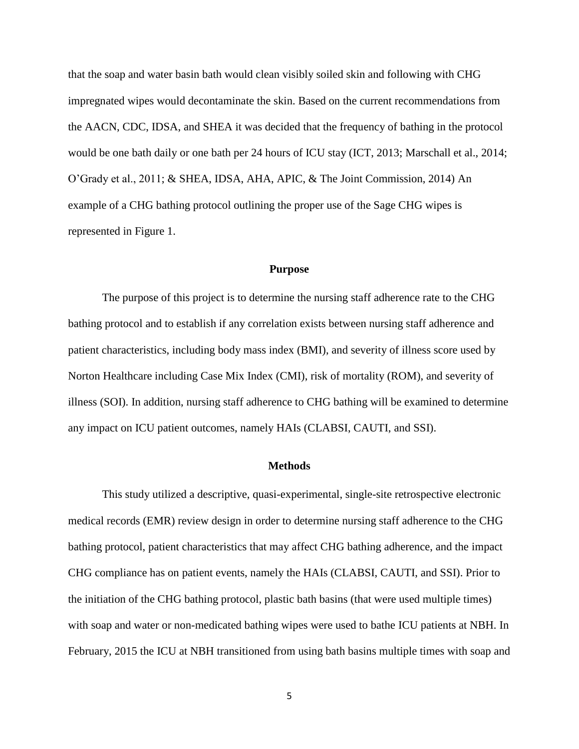that the soap and water basin bath would clean visibly soiled skin and following with CHG impregnated wipes would decontaminate the skin. Based on the current recommendations from the AACN, CDC, IDSA, and SHEA it was decided that the frequency of bathing in the protocol would be one bath daily or one bath per 24 hours of ICU stay (ICT, 2013; Marschall et al., 2014; O'Grady et al., 2011; & SHEA, IDSA, AHA, APIC, & The Joint Commission, 2014) An example of a CHG bathing protocol outlining the proper use of the Sage CHG wipes is represented in Figure 1.

#### **Purpose**

The purpose of this project is to determine the nursing staff adherence rate to the CHG bathing protocol and to establish if any correlation exists between nursing staff adherence and patient characteristics, including body mass index (BMI), and severity of illness score used by Norton Healthcare including Case Mix Index (CMI), risk of mortality (ROM), and severity of illness (SOI). In addition, nursing staff adherence to CHG bathing will be examined to determine any impact on ICU patient outcomes, namely HAIs (CLABSI, CAUTI, and SSI).

#### **Methods**

This study utilized a descriptive, quasi-experimental, single-site retrospective electronic medical records (EMR) review design in order to determine nursing staff adherence to the CHG bathing protocol, patient characteristics that may affect CHG bathing adherence, and the impact CHG compliance has on patient events, namely the HAIs (CLABSI, CAUTI, and SSI). Prior to the initiation of the CHG bathing protocol, plastic bath basins (that were used multiple times) with soap and water or non-medicated bathing wipes were used to bathe ICU patients at NBH. In February, 2015 the ICU at NBH transitioned from using bath basins multiple times with soap and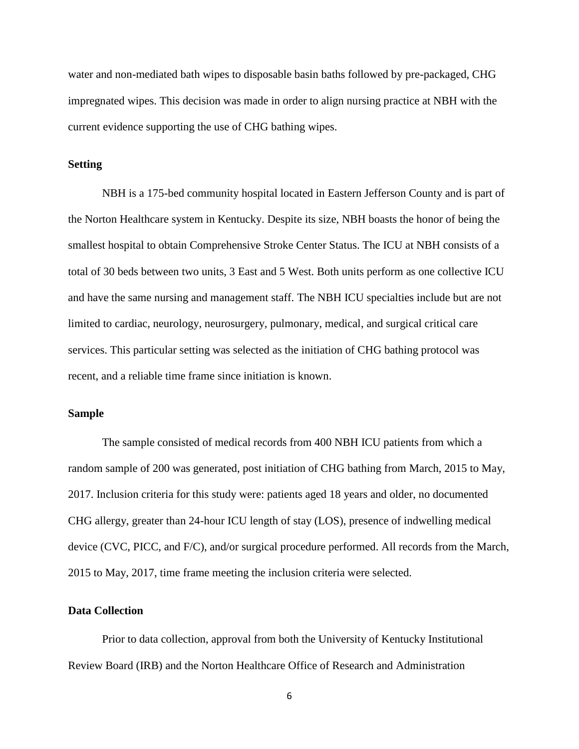water and non-mediated bath wipes to disposable basin baths followed by pre-packaged, CHG impregnated wipes. This decision was made in order to align nursing practice at NBH with the current evidence supporting the use of CHG bathing wipes.

#### **Setting**

NBH is a 175-bed community hospital located in Eastern Jefferson County and is part of the Norton Healthcare system in Kentucky. Despite its size, NBH boasts the honor of being the smallest hospital to obtain Comprehensive Stroke Center Status. The ICU at NBH consists of a total of 30 beds between two units, 3 East and 5 West. Both units perform as one collective ICU and have the same nursing and management staff. The NBH ICU specialties include but are not limited to cardiac, neurology, neurosurgery, pulmonary, medical, and surgical critical care services. This particular setting was selected as the initiation of CHG bathing protocol was recent, and a reliable time frame since initiation is known.

#### **Sample**

The sample consisted of medical records from 400 NBH ICU patients from which a random sample of 200 was generated, post initiation of CHG bathing from March, 2015 to May, 2017. Inclusion criteria for this study were: patients aged 18 years and older, no documented CHG allergy, greater than 24-hour ICU length of stay (LOS), presence of indwelling medical device (CVC, PICC, and F/C), and/or surgical procedure performed. All records from the March, 2015 to May, 2017, time frame meeting the inclusion criteria were selected.

#### **Data Collection**

Prior to data collection, approval from both the University of Kentucky Institutional Review Board (IRB) and the Norton Healthcare Office of Research and Administration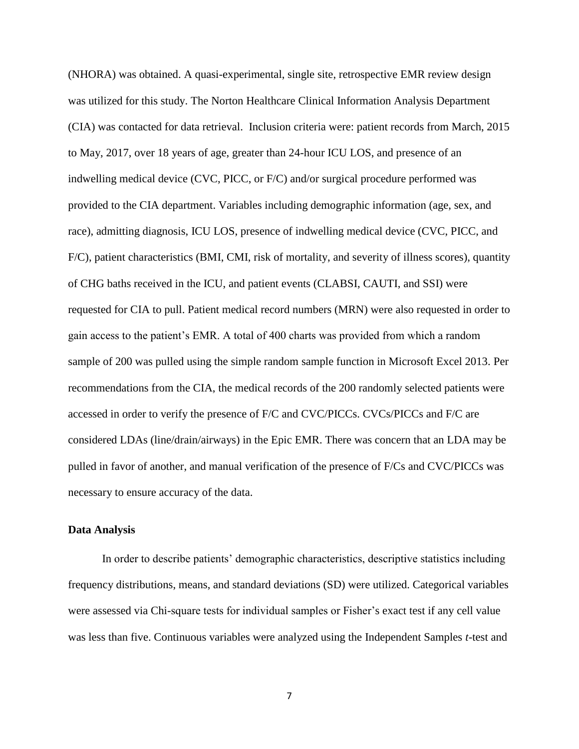(NHORA) was obtained. A quasi-experimental, single site, retrospective EMR review design was utilized for this study. The Norton Healthcare Clinical Information Analysis Department (CIA) was contacted for data retrieval. Inclusion criteria were: patient records from March, 2015 to May, 2017, over 18 years of age, greater than 24-hour ICU LOS, and presence of an indwelling medical device (CVC, PICC, or F/C) and/or surgical procedure performed was provided to the CIA department. Variables including demographic information (age, sex, and race), admitting diagnosis, ICU LOS, presence of indwelling medical device (CVC, PICC, and F/C), patient characteristics (BMI, CMI, risk of mortality, and severity of illness scores), quantity of CHG baths received in the ICU, and patient events (CLABSI, CAUTI, and SSI) were requested for CIA to pull. Patient medical record numbers (MRN) were also requested in order to gain access to the patient's EMR. A total of 400 charts was provided from which a random sample of 200 was pulled using the simple random sample function in Microsoft Excel 2013. Per recommendations from the CIA, the medical records of the 200 randomly selected patients were accessed in order to verify the presence of F/C and CVC/PICCs. CVCs/PICCs and F/C are considered LDAs (line/drain/airways) in the Epic EMR. There was concern that an LDA may be pulled in favor of another, and manual verification of the presence of F/Cs and CVC/PICCs was necessary to ensure accuracy of the data.

#### **Data Analysis**

In order to describe patients' demographic characteristics, descriptive statistics including frequency distributions, means, and standard deviations (SD) were utilized. Categorical variables were assessed via Chi-square tests for individual samples or Fisher's exact test if any cell value was less than five. Continuous variables were analyzed using the Independent Samples *t*-test and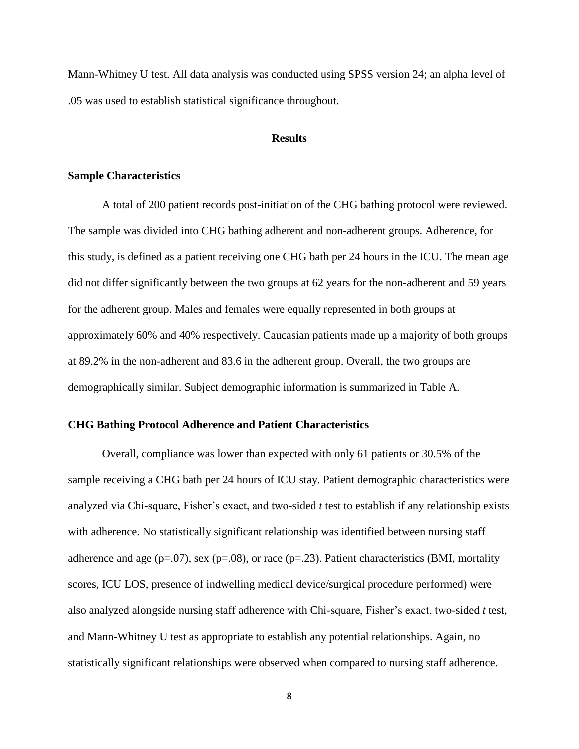Mann-Whitney U test. All data analysis was conducted using SPSS version 24; an alpha level of .05 was used to establish statistical significance throughout.

#### **Results**

#### **Sample Characteristics**

A total of 200 patient records post-initiation of the CHG bathing protocol were reviewed. The sample was divided into CHG bathing adherent and non-adherent groups. Adherence, for this study, is defined as a patient receiving one CHG bath per 24 hours in the ICU. The mean age did not differ significantly between the two groups at 62 years for the non-adherent and 59 years for the adherent group. Males and females were equally represented in both groups at approximately 60% and 40% respectively. Caucasian patients made up a majority of both groups at 89.2% in the non-adherent and 83.6 in the adherent group. Overall, the two groups are demographically similar. Subject demographic information is summarized in Table A.

#### **CHG Bathing Protocol Adherence and Patient Characteristics**

Overall, compliance was lower than expected with only 61 patients or 30.5% of the sample receiving a CHG bath per 24 hours of ICU stay. Patient demographic characteristics were analyzed via Chi-square, Fisher's exact, and two-sided *t* test to establish if any relationship exists with adherence. No statistically significant relationship was identified between nursing staff adherence and age ( $p=.07$ ), sex ( $p=.08$ ), or race ( $p=.23$ ). Patient characteristics (BMI, mortality scores, ICU LOS, presence of indwelling medical device/surgical procedure performed) were also analyzed alongside nursing staff adherence with Chi-square, Fisher's exact, two-sided *t* test, and Mann-Whitney U test as appropriate to establish any potential relationships. Again, no statistically significant relationships were observed when compared to nursing staff adherence.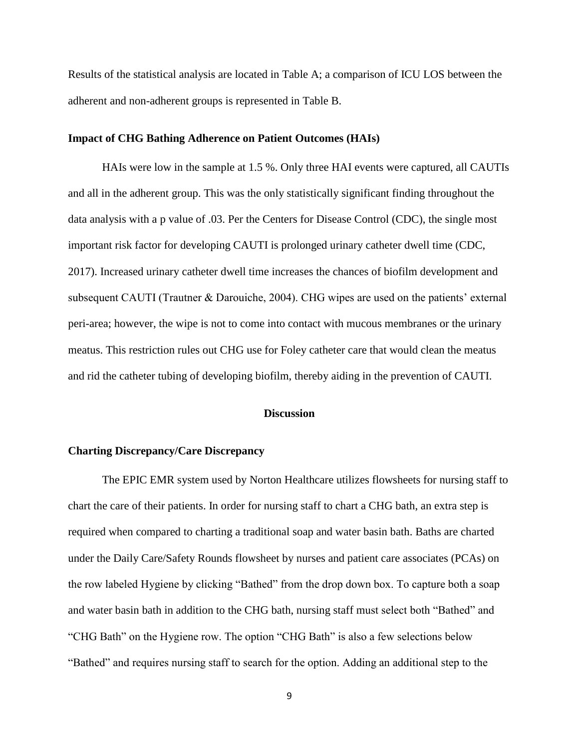Results of the statistical analysis are located in Table A; a comparison of ICU LOS between the adherent and non-adherent groups is represented in Table B.

#### **Impact of CHG Bathing Adherence on Patient Outcomes (HAIs)**

HAIs were low in the sample at 1.5 %. Only three HAI events were captured, all CAUTIs and all in the adherent group. This was the only statistically significant finding throughout the data analysis with a p value of .03. Per the Centers for Disease Control (CDC), the single most important risk factor for developing CAUTI is prolonged urinary catheter dwell time (CDC, 2017). Increased urinary catheter dwell time increases the chances of biofilm development and subsequent CAUTI (Trautner & Darouiche, 2004). CHG wipes are used on the patients' external peri-area; however, the wipe is not to come into contact with mucous membranes or the urinary meatus. This restriction rules out CHG use for Foley catheter care that would clean the meatus and rid the catheter tubing of developing biofilm, thereby aiding in the prevention of CAUTI.

#### **Discussion**

#### **Charting Discrepancy/Care Discrepancy**

The EPIC EMR system used by Norton Healthcare utilizes flowsheets for nursing staff to chart the care of their patients. In order for nursing staff to chart a CHG bath, an extra step is required when compared to charting a traditional soap and water basin bath. Baths are charted under the Daily Care/Safety Rounds flowsheet by nurses and patient care associates (PCAs) on the row labeled Hygiene by clicking "Bathed" from the drop down box. To capture both a soap and water basin bath in addition to the CHG bath, nursing staff must select both "Bathed" and "CHG Bath" on the Hygiene row. The option "CHG Bath" is also a few selections below "Bathed" and requires nursing staff to search for the option. Adding an additional step to the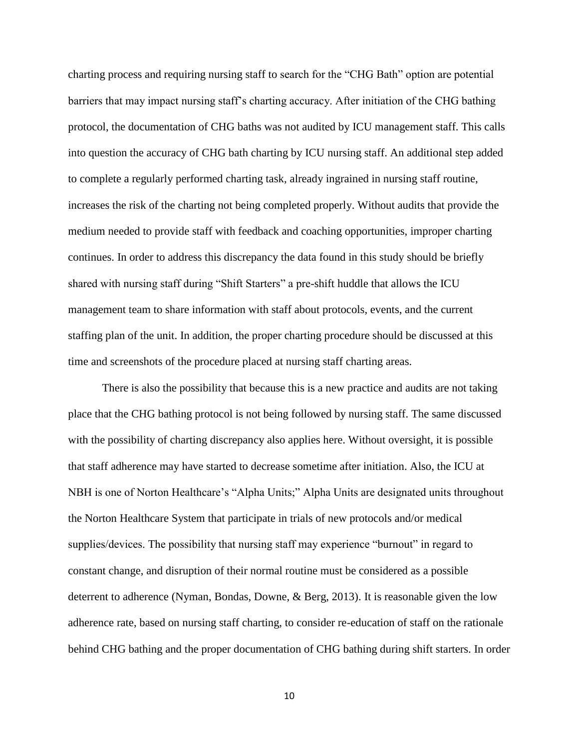charting process and requiring nursing staff to search for the "CHG Bath" option are potential barriers that may impact nursing staff's charting accuracy. After initiation of the CHG bathing protocol, the documentation of CHG baths was not audited by ICU management staff. This calls into question the accuracy of CHG bath charting by ICU nursing staff. An additional step added to complete a regularly performed charting task, already ingrained in nursing staff routine, increases the risk of the charting not being completed properly. Without audits that provide the medium needed to provide staff with feedback and coaching opportunities, improper charting continues. In order to address this discrepancy the data found in this study should be briefly shared with nursing staff during "Shift Starters" a pre-shift huddle that allows the ICU management team to share information with staff about protocols, events, and the current staffing plan of the unit. In addition, the proper charting procedure should be discussed at this time and screenshots of the procedure placed at nursing staff charting areas.

There is also the possibility that because this is a new practice and audits are not taking place that the CHG bathing protocol is not being followed by nursing staff. The same discussed with the possibility of charting discrepancy also applies here. Without oversight, it is possible that staff adherence may have started to decrease sometime after initiation. Also, the ICU at NBH is one of Norton Healthcare's "Alpha Units;" Alpha Units are designated units throughout the Norton Healthcare System that participate in trials of new protocols and/or medical supplies/devices. The possibility that nursing staff may experience "burnout" in regard to constant change, and disruption of their normal routine must be considered as a possible deterrent to adherence (Nyman, Bondas, Downe, & Berg, 2013). It is reasonable given the low adherence rate, based on nursing staff charting, to consider re-education of staff on the rationale behind CHG bathing and the proper documentation of CHG bathing during shift starters. In order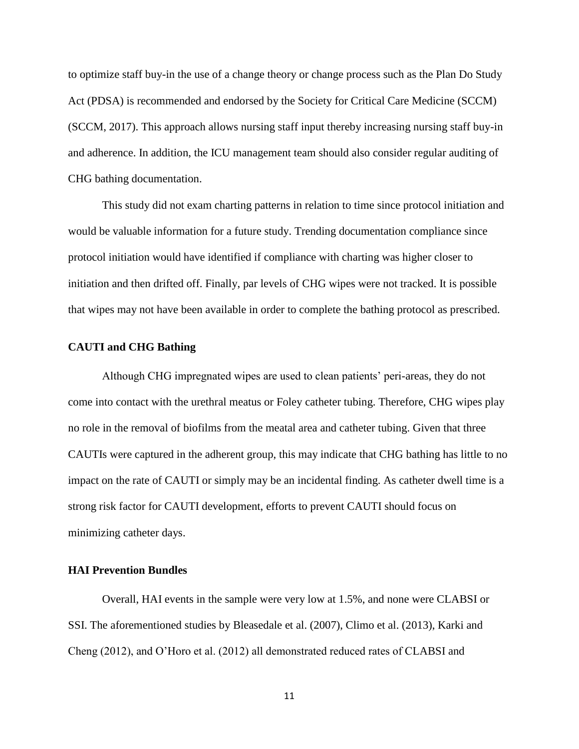to optimize staff buy-in the use of a change theory or change process such as the Plan Do Study Act (PDSA) is recommended and endorsed by the Society for Critical Care Medicine (SCCM) (SCCM, 2017). This approach allows nursing staff input thereby increasing nursing staff buy-in and adherence. In addition, the ICU management team should also consider regular auditing of CHG bathing documentation.

This study did not exam charting patterns in relation to time since protocol initiation and would be valuable information for a future study. Trending documentation compliance since protocol initiation would have identified if compliance with charting was higher closer to initiation and then drifted off. Finally, par levels of CHG wipes were not tracked. It is possible that wipes may not have been available in order to complete the bathing protocol as prescribed.

#### **CAUTI and CHG Bathing**

Although CHG impregnated wipes are used to clean patients' peri-areas, they do not come into contact with the urethral meatus or Foley catheter tubing. Therefore, CHG wipes play no role in the removal of biofilms from the meatal area and catheter tubing. Given that three CAUTIs were captured in the adherent group, this may indicate that CHG bathing has little to no impact on the rate of CAUTI or simply may be an incidental finding. As catheter dwell time is a strong risk factor for CAUTI development, efforts to prevent CAUTI should focus on minimizing catheter days.

#### **HAI Prevention Bundles**

Overall, HAI events in the sample were very low at 1.5%, and none were CLABSI or SSI. The aforementioned studies by Bleasedale et al. (2007), Climo et al. (2013), Karki and Cheng (2012), and O'Horo et al. (2012) all demonstrated reduced rates of CLABSI and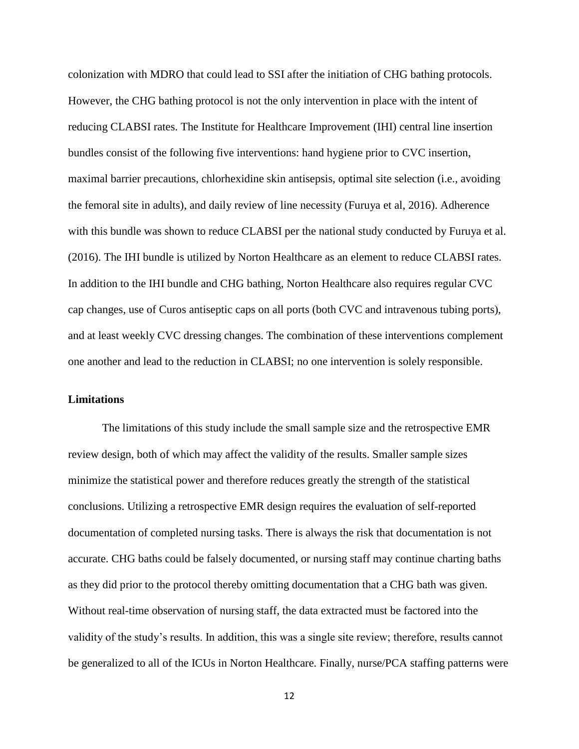colonization with MDRO that could lead to SSI after the initiation of CHG bathing protocols. However, the CHG bathing protocol is not the only intervention in place with the intent of reducing CLABSI rates. The Institute for Healthcare Improvement (IHI) central line insertion bundles consist of the following five interventions: hand hygiene prior to CVC insertion, maximal barrier precautions, chlorhexidine skin antisepsis, optimal site selection (i.e., avoiding the femoral site in adults), and daily review of line necessity (Furuya et al, 2016). Adherence with this bundle was shown to reduce CLABSI per the national study conducted by Furuya et al. (2016). The IHI bundle is utilized by Norton Healthcare as an element to reduce CLABSI rates. In addition to the IHI bundle and CHG bathing, Norton Healthcare also requires regular CVC cap changes, use of Curos antiseptic caps on all ports (both CVC and intravenous tubing ports), and at least weekly CVC dressing changes. The combination of these interventions complement one another and lead to the reduction in CLABSI; no one intervention is solely responsible.

#### **Limitations**

The limitations of this study include the small sample size and the retrospective EMR review design, both of which may affect the validity of the results. Smaller sample sizes minimize the statistical power and therefore reduces greatly the strength of the statistical conclusions. Utilizing a retrospective EMR design requires the evaluation of self-reported documentation of completed nursing tasks. There is always the risk that documentation is not accurate. CHG baths could be falsely documented, or nursing staff may continue charting baths as they did prior to the protocol thereby omitting documentation that a CHG bath was given. Without real-time observation of nursing staff, the data extracted must be factored into the validity of the study's results. In addition, this was a single site review; therefore, results cannot be generalized to all of the ICUs in Norton Healthcare. Finally, nurse/PCA staffing patterns were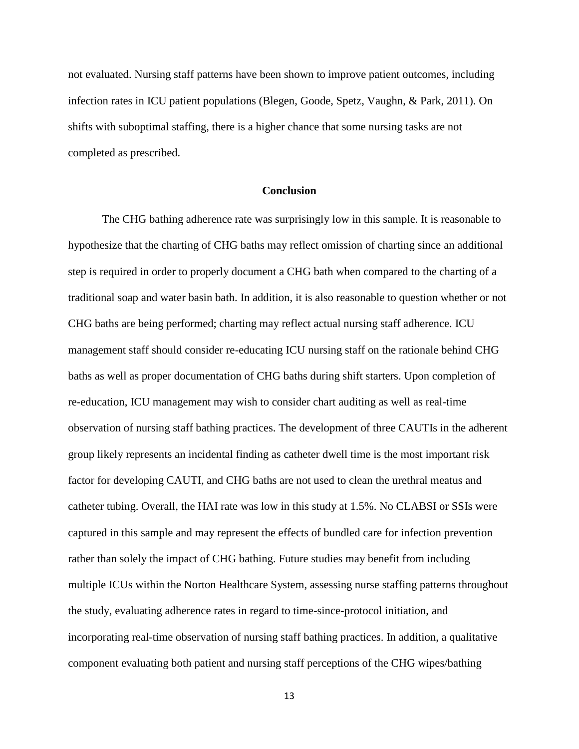not evaluated. Nursing staff patterns have been shown to improve patient outcomes, including infection rates in ICU patient populations (Blegen, Goode, Spetz, Vaughn, & Park, 2011). On shifts with suboptimal staffing, there is a higher chance that some nursing tasks are not completed as prescribed.

#### **Conclusion**

The CHG bathing adherence rate was surprisingly low in this sample. It is reasonable to hypothesize that the charting of CHG baths may reflect omission of charting since an additional step is required in order to properly document a CHG bath when compared to the charting of a traditional soap and water basin bath. In addition, it is also reasonable to question whether or not CHG baths are being performed; charting may reflect actual nursing staff adherence. ICU management staff should consider re-educating ICU nursing staff on the rationale behind CHG baths as well as proper documentation of CHG baths during shift starters. Upon completion of re-education, ICU management may wish to consider chart auditing as well as real-time observation of nursing staff bathing practices. The development of three CAUTIs in the adherent group likely represents an incidental finding as catheter dwell time is the most important risk factor for developing CAUTI, and CHG baths are not used to clean the urethral meatus and catheter tubing. Overall, the HAI rate was low in this study at 1.5%. No CLABSI or SSIs were captured in this sample and may represent the effects of bundled care for infection prevention rather than solely the impact of CHG bathing. Future studies may benefit from including multiple ICUs within the Norton Healthcare System, assessing nurse staffing patterns throughout the study, evaluating adherence rates in regard to time-since-protocol initiation, and incorporating real-time observation of nursing staff bathing practices. In addition, a qualitative component evaluating both patient and nursing staff perceptions of the CHG wipes/bathing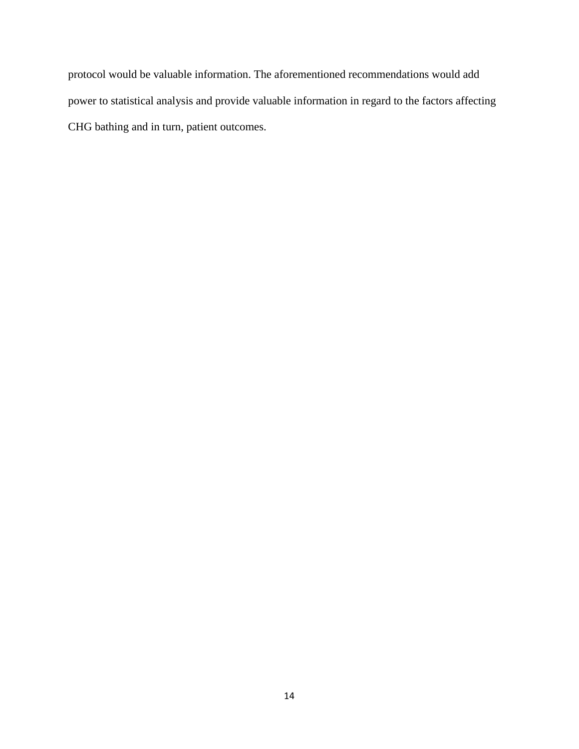protocol would be valuable information. The aforementioned recommendations would add power to statistical analysis and provide valuable information in regard to the factors affecting CHG bathing and in turn, patient outcomes.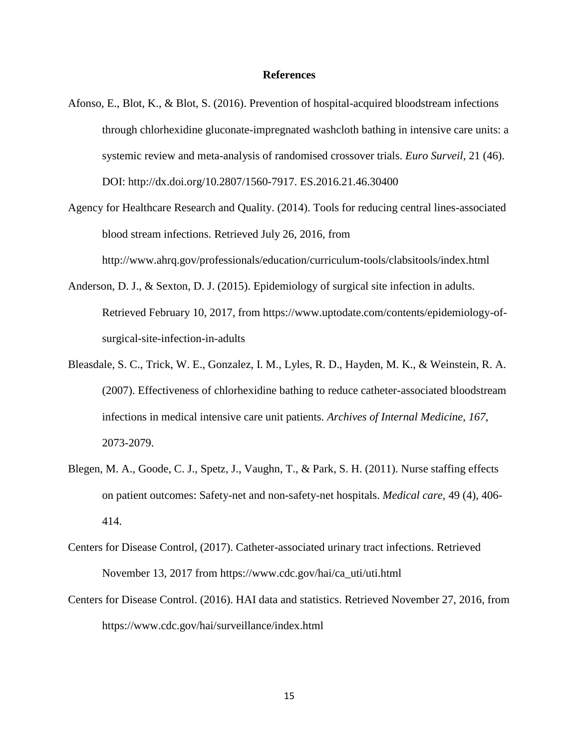#### **References**

- Afonso, E., Blot, K., & Blot, S. (2016). Prevention of hospital-acquired bloodstream infections through chlorhexidine gluconate-impregnated washcloth bathing in intensive care units: a systemic review and meta-analysis of randomised crossover trials. *Euro Surveil,* 21 (46). DOI: http://dx.doi.org/10.2807/1560-7917. ES.2016.21.46.30400
- Agency for Healthcare Research and Quality. (2014). Tools for reducing central lines-associated blood stream infections. Retrieved July 26, 2016, from http://www.ahrq.gov/professionals/education/curriculum-tools/clabsitools/index.html
- Anderson, D. J., & Sexton, D. J. (2015). Epidemiology of surgical site infection in adults. Retrieved February 10, 2017, from https://www.uptodate.com/contents/epidemiology-ofsurgical-site-infection-in-adults
- Bleasdale, S. C., Trick, W. E., Gonzalez, I. M., Lyles, R. D., Hayden, M. K., & Weinstein, R. A. (2007). Effectiveness of chlorhexidine bathing to reduce catheter-associated bloodstream infections in medical intensive care unit patients. *Archives of Internal Medicine*, *167*, 2073-2079.
- Blegen, M. A., Goode, C. J., Spetz, J., Vaughn, T., & Park, S. H. (2011). Nurse staffing effects on patient outcomes: Safety-net and non-safety-net hospitals. *Medical care,* 49 (4), 406- 414.
- Centers for Disease Control, (2017). Catheter-associated urinary tract infections. Retrieved November 13, 2017 from https://www.cdc.gov/hai/ca\_uti/uti.html
- Centers for Disease Control. (2016). HAI data and statistics. Retrieved November 27, 2016, from https://www.cdc.gov/hai/surveillance/index.html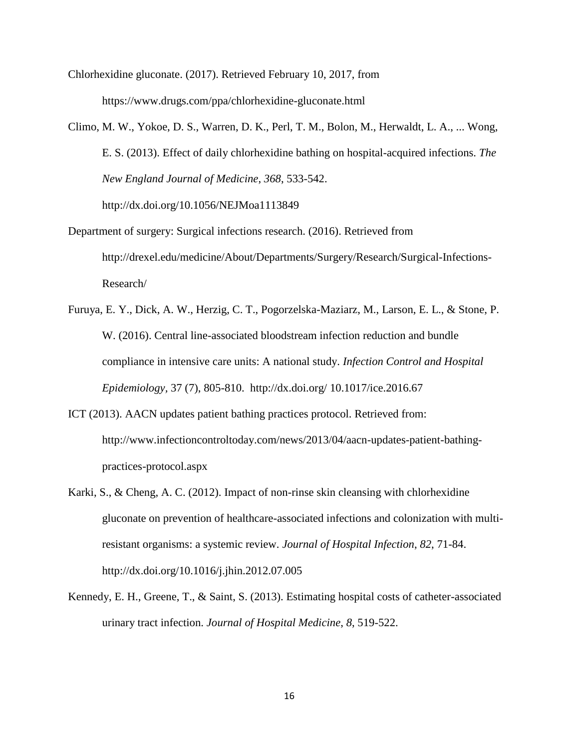Chlorhexidine gluconate. (2017). Retrieved February 10, 2017, from https://www.drugs.com/ppa/chlorhexidine-gluconate.html

Climo, M. W., Yokoe, D. S., Warren, D. K., Perl, T. M., Bolon, M., Herwaldt, L. A., ... Wong, E. S. (2013). Effect of daily chlorhexidine bathing on hospital-acquired infections. *The New England Journal of Medicine*, *368*, 533-542.

http://dx.doi.org/10.1056/NEJMoa1113849

- Department of surgery: Surgical infections research. (2016). Retrieved from http://drexel.edu/medicine/About/Departments/Surgery/Research/Surgical-Infections-Research/
- Furuya, E. Y., Dick, A. W., Herzig, C. T., Pogorzelska-Maziarz, M., Larson, E. L., & Stone, P. W. (2016). Central line-associated bloodstream infection reduction and bundle compliance in intensive care units: A national study. *Infection Control and Hospital Epidemiology,* 37 (7), 805-810. http://dx.doi.org/ 10.1017/ice.2016.67
- ICT (2013). AACN updates patient bathing practices protocol. Retrieved from: http://www.infectioncontroltoday.com/news/2013/04/aacn-updates-patient-bathingpractices-protocol.aspx
- Karki, S., & Cheng, A. C. (2012). Impact of non-rinse skin cleansing with chlorhexidine gluconate on prevention of healthcare-associated infections and colonization with multiresistant organisms: a systemic review. *Journal of Hospital Infection*, *82*, 71-84. http://dx.doi.org/10.1016/j.jhin.2012.07.005
- Kennedy, E. H., Greene, T., & Saint, S. (2013). Estimating hospital costs of catheter-associated urinary tract infection. *Journal of Hospital Medicine*, *8*, 519-522.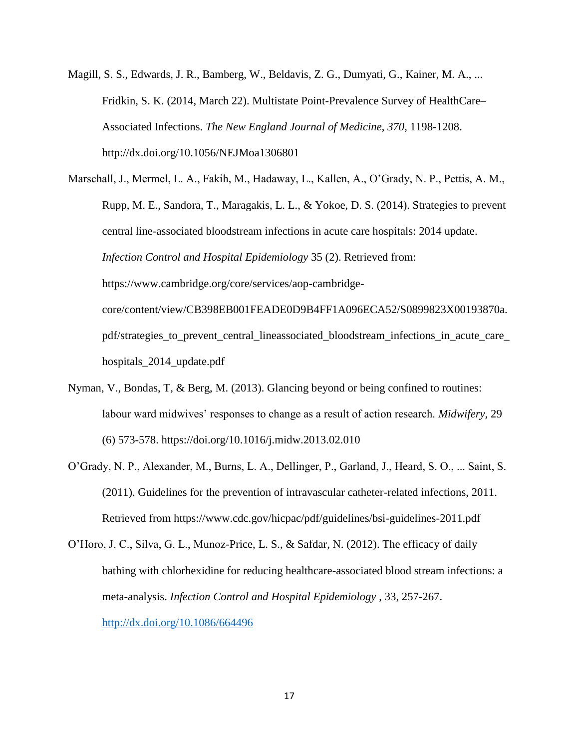Magill, S. S., Edwards, J. R., Bamberg, W., Beldavis, Z. G., Dumyati, G., Kainer, M. A., ... Fridkin, S. K. (2014, March 22). Multistate Point-Prevalence Survey of HealthCare– Associated Infections. *The New England Journal of Medicine*, *370*, 1198-1208. http://dx.doi.org/10.1056/NEJMoa1306801

Marschall, J., Mermel, L. A., Fakih, M., Hadaway, L., Kallen, A., O'Grady, N. P., Pettis, A. M., Rupp, M. E., Sandora, T., Maragakis, L. L., & Yokoe, D. S. (2014). Strategies to prevent central line-associated bloodstream infections in acute care hospitals: 2014 update. *Infection Control and Hospital Epidemiology* 35 (2). Retrieved from: https://www.cambridge.org/core/services/aop-cambridgecore/content/view/CB398EB001FEADE0D9B4FF1A096ECA52/S0899823X00193870a. pdf/strategies\_to\_prevent\_central\_lineassociated\_bloodstream\_infections\_in\_acute\_care\_ hospitals\_2014\_update.pdf

- Nyman, V., Bondas, T, & Berg, M. (2013). Glancing beyond or being confined to routines: labour ward midwives' responses to change as a result of action research. *Midwifery,* 29 (6) 573-578. https://doi.org/10.1016/j.midw.2013.02.010
- O'Grady, N. P., Alexander, M., Burns, L. A., Dellinger, P., Garland, J., Heard, S. O., ... Saint, S. (2011). Guidelines for the prevention of intravascular catheter-related infections, 2011. Retrieved from https://www.cdc.gov/hicpac/pdf/guidelines/bsi-guidelines-2011.pdf

O'Horo, J. C., Silva, G. L., Munoz-Price, L. S., & Safdar, N. (2012). The efficacy of daily bathing with chlorhexidine for reducing healthcare-associated blood stream infections: a meta-analysis. *Infection Control and Hospital Epidemiology* , 33, 257-267. <http://dx.doi.org/10.1086/664496>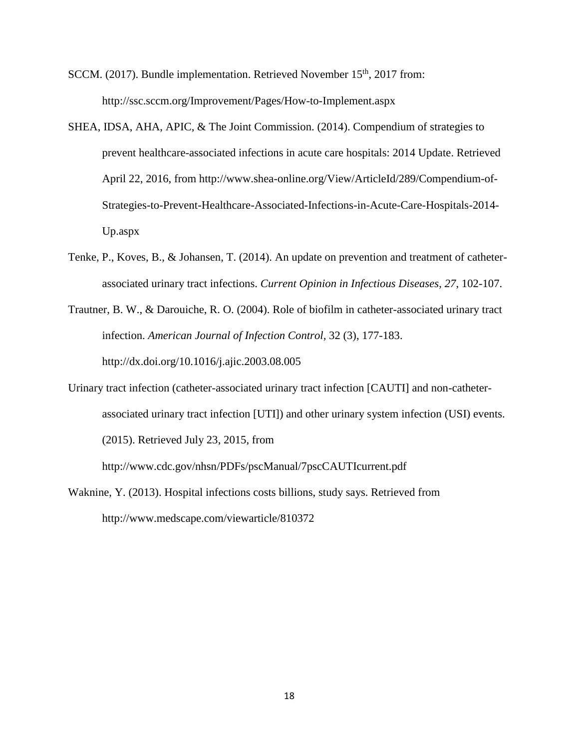SCCM. (2017). Bundle implementation. Retrieved November 15<sup>th</sup>, 2017 from: http://ssc.sccm.org/Improvement/Pages/How-to-Implement.aspx

- SHEA, IDSA, AHA, APIC, & The Joint Commission. (2014). Compendium of strategies to prevent healthcare-associated infections in acute care hospitals: 2014 Update. Retrieved April 22, 2016, from http://www.shea-online.org/View/ArticleId/289/Compendium-of-Strategies-to-Prevent-Healthcare-Associated-Infections-in-Acute-Care-Hospitals-2014- Up.aspx
- Tenke, P., Koves, B., & Johansen, T. (2014). An update on prevention and treatment of catheterassociated urinary tract infections. *Current Opinion in Infectious Diseases*, *27*, 102-107.
- Trautner, B. W., & Darouiche, R. O. (2004). Role of biofilm in catheter-associated urinary tract infection. *American Journal of Infection Control,* 32 (3), 177-183. http://dx.doi.org/10.1016/j.ajic.2003.08.005
- Urinary tract infection (catheter-associated urinary tract infection [CAUTI] and non-catheterassociated urinary tract infection [UTI]) and other urinary system infection (USI) events. (2015). Retrieved July 23, 2015, from

http://www.cdc.gov/nhsn/PDFs/pscManual/7pscCAUTIcurrent.pdf

Waknine, Y. (2013). Hospital infections costs billions, study says. Retrieved from http://www.medscape.com/viewarticle/810372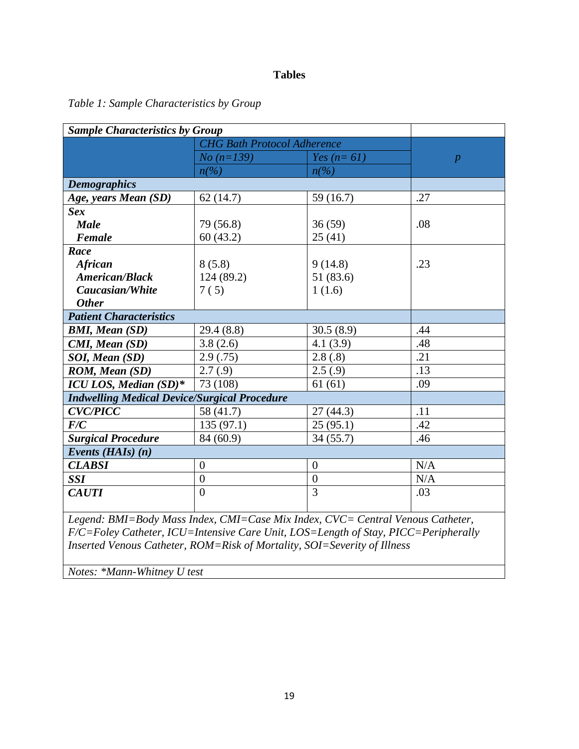# **Tables**

# *Table 1: Sample Characteristics by Group*

| <b>Sample Characteristics by Group</b>              |                          |                                                           |                  |
|-----------------------------------------------------|--------------------------|-----------------------------------------------------------|------------------|
|                                                     |                          | <b>CHG Bath Protocol Adherence</b>                        |                  |
|                                                     | $No (n=139)$             | Yes $(n=61)$                                              | $\boldsymbol{p}$ |
|                                                     | $n\frac{\gamma}{\delta}$ | $n\llap{$\left( \frac{\frac{1}{2}}{\frac{1}{2}} \right)}$ |                  |
| <b>Demographics</b>                                 |                          |                                                           |                  |
| Age, years Mean (SD)                                | 62(14.7)                 | 59 $(16.7)$                                               | .27              |
| <b>Sex</b>                                          |                          |                                                           |                  |
| <b>Male</b>                                         | 79 (56.8)                | 36(59)                                                    | .08              |
| Female                                              | 60(43.2)                 | 25(41)                                                    |                  |
| Race                                                |                          |                                                           |                  |
| <b>African</b>                                      | 8(5.8)                   | 9(14.8)                                                   | .23              |
| <b>American/Black</b>                               | 124 (89.2)               | 51 (83.6)                                                 |                  |
| Caucasian/White                                     | 7(5)                     | 1(1.6)                                                    |                  |
| <b>Other</b>                                        |                          |                                                           |                  |
| <b>Patient Characteristics</b>                      |                          |                                                           |                  |
| <b>BMI, Mean (SD)</b>                               | 29.4 (8.8)               | 30.5(8.9)                                                 | .44              |
| CMI, Mean (SD)                                      | 3.8(2.6)                 | 4.1(3.9)                                                  | .48              |
| SOI, Mean (SD)                                      | 2.9(.75)                 | 2.8(.8)                                                   | .21              |
| ROM, Mean (SD)                                      | 2.7(.9)                  | 2.5(.9)                                                   | .13              |
| ICU LOS, Median (SD)*                               | 73 (108)                 | 61(61)                                                    | .09              |
| <b>Indwelling Medical Device/Surgical Procedure</b> |                          |                                                           |                  |
| <b>CVC/PICC</b>                                     | 58 (41.7)                | 27(44.3)                                                  | .11              |
| F/C                                                 | 135(97.1)                | 25(95.1)                                                  | .42              |
| <b>Surgical Procedure</b>                           | 84 (60.9)                | 34(55.7)                                                  | .46              |
| Events ( $HAIs$ ) (n)                               |                          |                                                           |                  |
| <b>CLABSI</b>                                       | $\overline{0}$           | $\overline{0}$                                            | N/A              |
| <b>SSI</b>                                          | $\boldsymbol{0}$         | $\boldsymbol{0}$                                          | N/A              |
| <b>CAUTI</b>                                        | $\theta$                 | 3                                                         | .03              |

*F/C=Foley Catheter, ICU=Intensive Care Unit, LOS=Length of Stay, PICC=Peripherally Inserted Venous Catheter, ROM=Risk of Mortality, SOI=Severity of Illness*

*Notes: \*Mann-Whitney U test*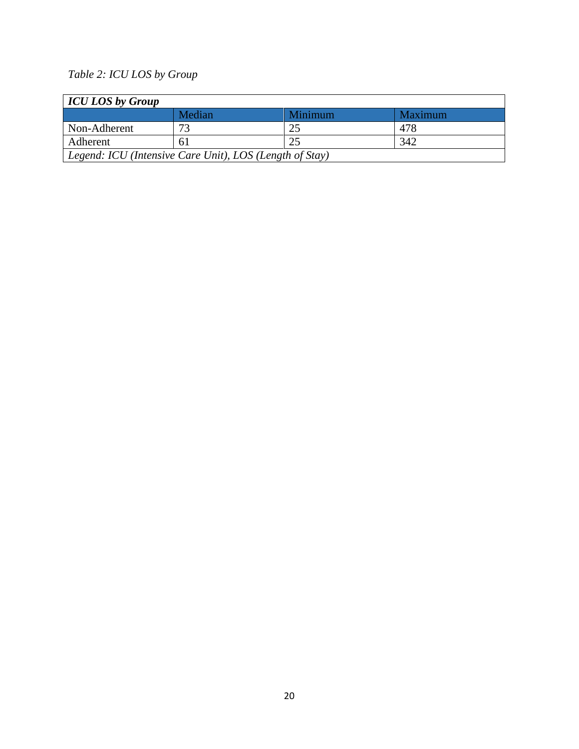# *Table 2: ICU LOS by Group*

| <b>ICU LOS by Group</b>                                 |        |                |         |  |  |
|---------------------------------------------------------|--------|----------------|---------|--|--|
|                                                         | Median | <b>Minimum</b> | Maximum |  |  |
| Non-Adherent                                            | 72     | 25             | 478     |  |  |
| Adherent                                                | 61     | 25             | 342     |  |  |
| Legend: ICU (Intensive Care Unit), LOS (Length of Stay) |        |                |         |  |  |